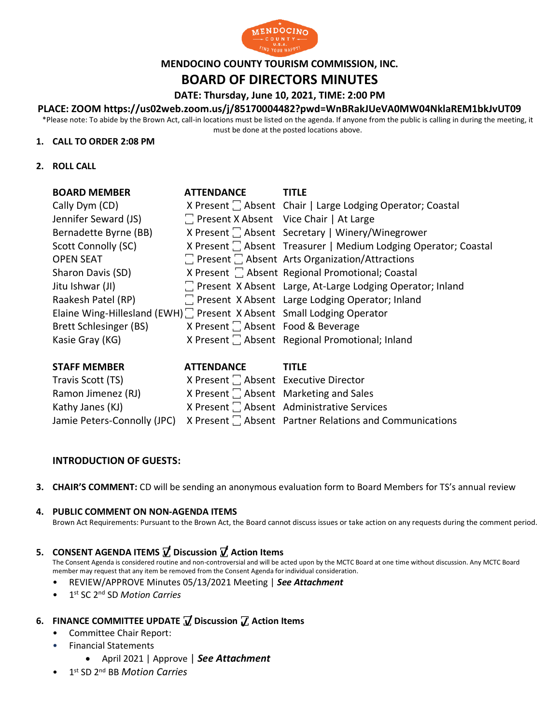

# **MENDOCINO COUNTY TOURISM COMMISSION, INC.**

# **BOARD OF DIRECTORS MINUTES**

#### **DATE: Thursday, June 10, 2021, TIME: 2:00 PM**

### **PLACE: ZOOM https://us02web.zoom.us/j/85170004482?pwd=WnBRakJUeVA0MW04NklaREM1bkJvUT09**

\*Please note: To abide by the Brown Act, call-in locations must be listed on the agenda. If anyone from the public is calling in during the meeting, it must be done at the posted locations above.

#### **1. CALL TO ORDER 2:08 PM**

**2. ROLL CALL**

| <b>BOARD MEMBER</b>                                                    | <b>ATTENDANCE</b>                             | <b>TITLE</b>                                                    |
|------------------------------------------------------------------------|-----------------------------------------------|-----------------------------------------------------------------|
| Cally Dym (CD)                                                         |                                               | X Present $\Box$ Absent Chair   Large Lodging Operator; Coastal |
| Jennifer Seward (JS)                                                   | The Present X Absent Vice Chair   At Large    |                                                                 |
| Bernadette Byrne (BB)                                                  |                                               | X Present C Absent Secretary   Winery/Winegrower                |
| Scott Connolly (SC)                                                    |                                               | X Present [ Absent Treasurer   Medium Lodging Operator; Coastal |
| <b>OPEN SEAT</b>                                                       |                                               | $\Box$ Present $\Box$ Absent Arts Organization/Attractions      |
| Sharon Davis (SD)                                                      |                                               | X Present   Absent Regional Promotional; Coastal                |
| Jitu Ishwar (JI)                                                       |                                               | 7 Present X Absent Large, At-Large Lodging Operator; Inland     |
| Raakesh Patel (RP)                                                     |                                               | T Present X Absent Large Lodging Operator; Inland               |
| Elaine Wing-Hillesland (EWH) : Present X Absent Small Lodging Operator |                                               |                                                                 |
| Brett Schlesinger (BS)                                                 | X Present <sup>1</sup> Absent Food & Beverage |                                                                 |
| Kasie Gray (KG)                                                        |                                               | X Present  C Absent Regional Promotional; Inland                |
|                                                                        |                                               |                                                                 |

| <b>STAFF MEMBER</b> | <b>ATTENDANCE</b>                     | <b>TITLF</b>                                                                        |
|---------------------|---------------------------------------|-------------------------------------------------------------------------------------|
| Travis Scott (TS)   | X Present   Absent Executive Director |                                                                                     |
| Ramon Jimenez (RJ)  |                                       | X Present $\Box$ Absent Marketing and Sales                                         |
| Kathy Janes (KJ)    |                                       | X Present C Absent Administrative Services                                          |
|                     |                                       | Jamie Peters-Connolly (JPC) X Present [ Absent Partner Relations and Communications |

#### **INTRODUCTION OF GUESTS:**

**3. CHAIR'S COMMENT:** CD will be sending an anonymous evaluation form to Board Members for TS's annual review

#### **4. PUBLIC COMMENT ON NON-AGENDA ITEMS**

Brown Act Requirements: Pursuant to the Brown Act, the Board cannot discuss issues or take action on any requests during the comment period.

# **5. CONSENT AGENDA ITEMS ꙱ Discussion ꙱ Action Items**

The Consent Agenda is considered routine and non-controversial and will be acted upon by the MCTC Board at one time without discussion. Any MCTC Board member may request that any item be removed from the Consent Agenda for individual consideration.

- REVIEW/APPROVE Minutes 05/13/2021 Meeting | *See Attachment*
- 1 st SC 2nd SD *Motion Carries*

# **6. FINANCE COMMITTEE UPDATE**  $\mathbf{\mathbf{\mathcal{J}}}$  Discussion  $\mathbf{\mathcal{J}}$  Action Items

- Committee Chair Report:
- Financial Statements
	- April 2021 | Approve | *See Attachment* m m
- 1 st SD 2nd BB *Motion Carries*